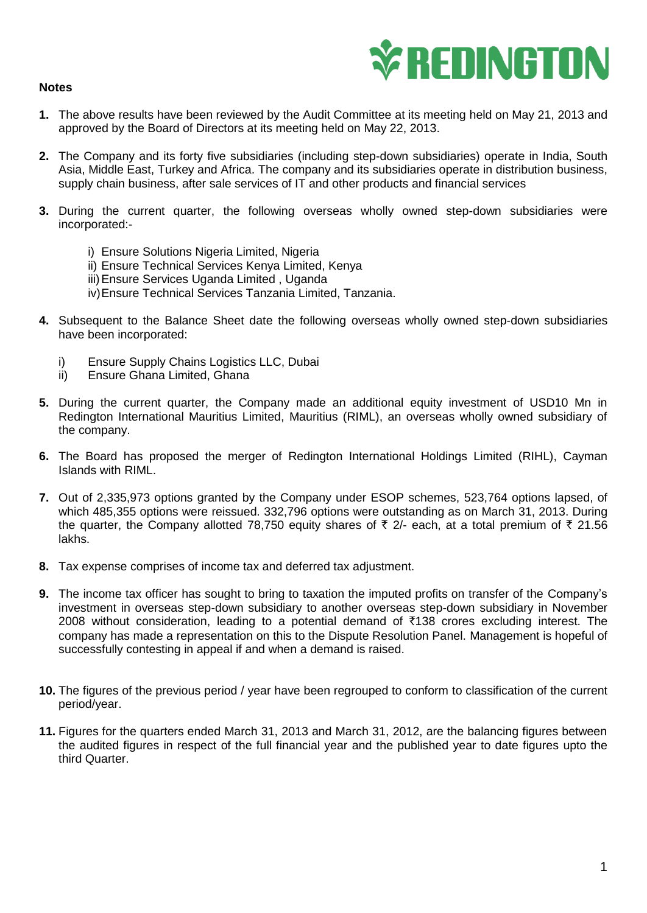



- **1.** The above results have been reviewed by the Audit Committee at its meeting held on May 21, 2013 and approved by the Board of Directors at its meeting held on May 22, 2013.
- **2.** The Company and its forty five subsidiaries (including step-down subsidiaries) operate in India, South Asia, Middle East, Turkey and Africa. The company and its subsidiaries operate in distribution business, supply chain business, after sale services of IT and other products and financial services
- **3.** During the current quarter, the following overseas wholly owned step-down subsidiaries were incorporated:
	- i) Ensure Solutions Nigeria Limited, Nigeria
	- ii) Ensure Technical Services Kenya Limited, Kenya
	- iii)Ensure Services Uganda Limited , Uganda
	- iv)Ensure Technical Services Tanzania Limited, Tanzania.
- **4.** Subsequent to the Balance Sheet date the following overseas wholly owned step-down subsidiaries have been incorporated:
	- i) Ensure Supply Chains Logistics LLC, Dubai
	- ii) Ensure Ghana Limited, Ghana
- **5.** During the current quarter, the Company made an additional equity investment of USD10 Mn in Redington International Mauritius Limited, Mauritius (RIML), an overseas wholly owned subsidiary of the company.
- **6.** The Board has proposed the merger of Redington International Holdings Limited (RIHL), Cayman Islands with RIML.
- **7.** Out of 2,335,973 options granted by the Company under ESOP schemes, 523,764 options lapsed, of which 485,355 options were reissued. 332,796 options were outstanding as on March 31, 2013. During the quarter, the Company allotted 78,750 equity shares of  $\bar{\tau}$  2/- each, at a total premium of  $\bar{\tau}$  21.56 lakhs.
- **8.** Tax expense comprises of income tax and deferred tax adjustment.
- **9.** The income tax officer has sought to bring to taxation the imputed profits on transfer of the Company's investment in overseas step-down subsidiary to another overseas step-down subsidiary in November 2008 without consideration, leading to a potential demand of  $\overline{5}$ 138 crores excluding interest. The company has made a representation on this to the Dispute Resolution Panel. Management is hopeful of successfully contesting in appeal if and when a demand is raised.
- **10.** The figures of the previous period / year have been regrouped to conform to classification of the current period/year.
- **11.** Figures for the quarters ended March 31, 2013 and March 31, 2012, are the balancing figures between the audited figures in respect of the full financial year and the published year to date figures upto the third Quarter.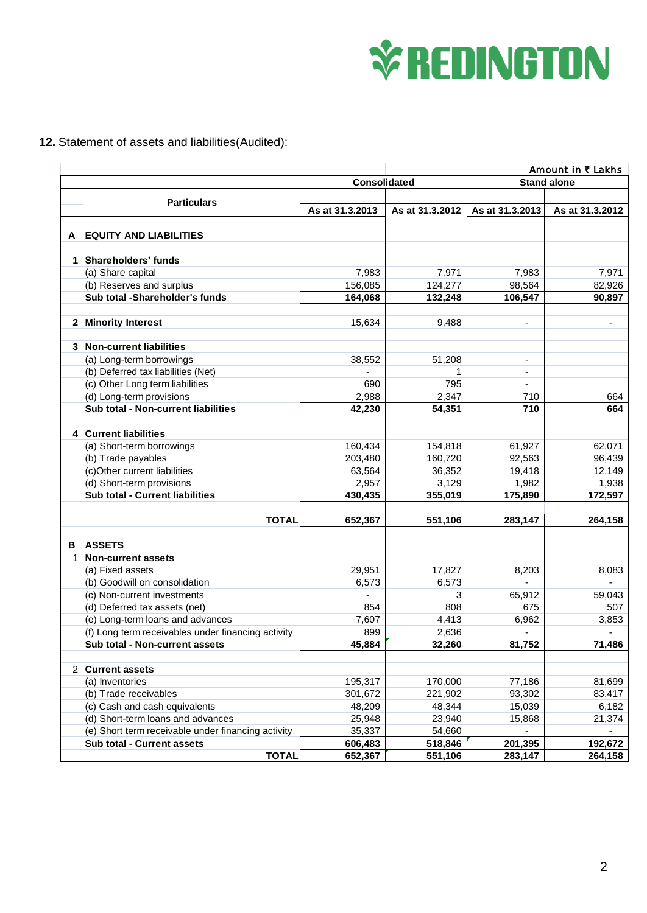

## **12.** Statement of assets and liabilities(Audited):

|   |                                                    |                     |                 | Amount in ₹ Lakhs        |                 |
|---|----------------------------------------------------|---------------------|-----------------|--------------------------|-----------------|
|   |                                                    | <b>Consolidated</b> |                 | <b>Stand alone</b>       |                 |
|   |                                                    |                     |                 |                          |                 |
|   | <b>Particulars</b>                                 | As at 31.3.2013     | As at 31.3.2012 | As at 31.3.2013          | As at 31.3.2012 |
|   |                                                    |                     |                 |                          |                 |
| A | <b>EQUITY AND LIABILITIES</b>                      |                     |                 |                          |                 |
|   |                                                    |                     |                 |                          |                 |
|   | 1 Shareholders' funds                              |                     |                 |                          |                 |
|   | (a) Share capital                                  | 7,983               | 7,971           | 7,983                    | 7,971           |
|   | (b) Reserves and surplus                           | 156,085             | 124,277         | 98,564                   | 82,926          |
|   | Sub total -Shareholder's funds                     | 164,068             | 132,248         | 106,547                  | 90,897          |
|   |                                                    |                     |                 |                          |                 |
|   | 2 Minority Interest                                | 15,634              | 9,488           | $\blacksquare$           | ÷,              |
|   | 3 Non-current liabilities                          |                     |                 |                          |                 |
|   | (a) Long-term borrowings                           | 38,552              | 51,208          | $\overline{\phantom{a}}$ |                 |
|   | (b) Deferred tax liabilities (Net)                 |                     | 1               | $\blacksquare$           |                 |
|   | (c) Other Long term liabilities                    | 690                 | 795             | $\blacksquare$           |                 |
|   | (d) Long-term provisions                           | 2,988               | 2,347           | 710                      | 664             |
|   | Sub total - Non-current liabilities                | 42,230              | 54,351          | 710                      | 664             |
|   |                                                    |                     |                 |                          |                 |
|   | 4 Current liabilities                              |                     |                 |                          |                 |
|   | (a) Short-term borrowings                          | 160,434             | 154,818         | 61,927                   | 62,071          |
|   | (b) Trade payables                                 | 203,480             | 160,720         | 92,563                   | 96,439          |
|   | (c)Other current liabilities                       | 63,564              | 36,352          | 19,418                   | 12,149          |
|   | (d) Short-term provisions                          | 2,957               | 3,129           | 1,982                    | 1,938           |
|   | Sub total - Current liabilities                    | 430,435             | 355,019         | 175,890                  | 172,597         |
|   |                                                    |                     |                 |                          |                 |
|   | <b>TOTAL</b>                                       | 652,367             | 551,106         | 283,147                  | 264,158         |
| в | <b>ASSETS</b>                                      |                     |                 |                          |                 |
| 1 | Non-current assets                                 |                     |                 |                          |                 |
|   | (a) Fixed assets                                   | 29,951              | 17,827          | 8,203                    | 8,083           |
|   | (b) Goodwill on consolidation                      | 6,573               | 6,573           | L.                       |                 |
|   | (c) Non-current investments                        |                     | 3               | 65,912                   | 59,043          |
|   | (d) Deferred tax assets (net)                      | 854                 | 808             | 675                      | 507             |
|   | (e) Long-term loans and advances                   | 7,607               | 4,413           | 6,962                    | 3,853           |
|   | (f) Long term receivables under financing activity | 899                 | 2,636           |                          |                 |
|   | Sub total - Non-current assets                     | 45,884              | 32,260          | 81,752                   | 71,486          |
|   |                                                    |                     |                 |                          |                 |
|   | 2 Current assets                                   |                     |                 |                          |                 |
|   | (a) Inventories                                    | 195,317             | 170,000         | 77,186                   | 81,699          |
|   | (b) Trade receivables                              | 301,672             | 221,902         | 93,302                   | 83,417          |
|   | (c) Cash and cash equivalents                      | 48,209              | 48,344          | 15,039                   | 6,182           |
|   | (d) Short-term loans and advances                  | 25,948              | 23,940          | 15,868                   | 21,374          |
|   | (e) Short term receivable under financing activity | 35,337              | 54,660          |                          |                 |
|   | Sub total - Current assets                         | 606,483             | 518,846         | 201,395                  | 192,672         |
|   | <b>TOTAL</b>                                       | 652,367             | 551,106         | 283,147                  | 264,158         |